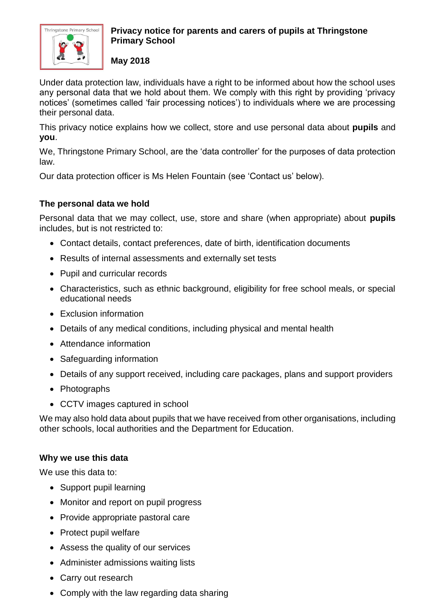

## **Privacy notice for parents and carers of pupils at Thringstone Primary School**

**May 2018**

Under data protection law, individuals have a right to be informed about how the school uses any personal data that we hold about them. We comply with this right by providing 'privacy notices' (sometimes called 'fair processing notices') to individuals where we are processing their personal data.

This privacy notice explains how we collect, store and use personal data about **pupils** and **you**.

We, Thringstone Primary School, are the 'data controller' for the purposes of data protection law.

Our data protection officer is Ms Helen Fountain (see 'Contact us' below).

# **The personal data we hold**

Personal data that we may collect, use, store and share (when appropriate) about **pupils** includes, but is not restricted to:

- Contact details, contact preferences, date of birth, identification documents
- Results of internal assessments and externally set tests
- Pupil and curricular records
- Characteristics, such as ethnic background, eligibility for free school meals, or special educational needs
- Exclusion information
- Details of any medical conditions, including physical and mental health
- Attendance information
- Safeguarding information
- Details of any support received, including care packages, plans and support providers
- Photographs
- CCTV images captured in school

We may also hold data about pupils that we have received from other organisations, including other schools, local authorities and the Department for Education.

### **Why we use this data**

We use this data to:

- Support pupil learning
- Monitor and report on pupil progress
- Provide appropriate pastoral care
- Protect pupil welfare
- Assess the quality of our services
- Administer admissions waiting lists
- Carry out research
- Comply with the law regarding data sharing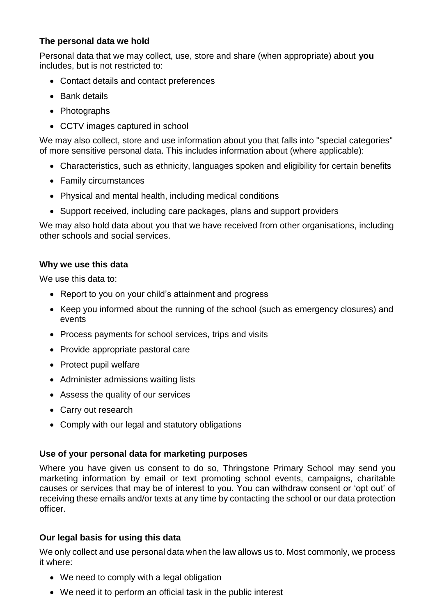### **The personal data we hold**

Personal data that we may collect, use, store and share (when appropriate) about **you** includes, but is not restricted to:

- Contact details and contact preferences
- Bank details
- Photographs
- CCTV images captured in school

We may also collect, store and use information about you that falls into "special categories" of more sensitive personal data. This includes information about (where applicable):

- Characteristics, such as ethnicity, languages spoken and eligibility for certain benefits
- Family circumstances
- Physical and mental health, including medical conditions
- Support received, including care packages, plans and support providers

We may also hold data about you that we have received from other organisations, including other schools and social services.

### **Why we use this data**

We use this data to:

- Report to you on your child's attainment and progress
- Keep you informed about the running of the school (such as emergency closures) and events
- Process payments for school services, trips and visits
- Provide appropriate pastoral care
- Protect pupil welfare
- Administer admissions waiting lists
- Assess the quality of our services
- Carry out research
- Comply with our legal and statutory obligations

# **Use of your personal data for marketing purposes**

Where you have given us consent to do so, Thringstone Primary School may send you marketing information by email or text promoting school events, campaigns, charitable causes or services that may be of interest to you. You can withdraw consent or 'opt out' of receiving these emails and/or texts at any time by contacting the school or our data protection officer.

### **Our legal basis for using this data**

We only collect and use personal data when the law allows us to. Most commonly, we process it where:

- We need to comply with a legal obligation
- We need it to perform an official task in the public interest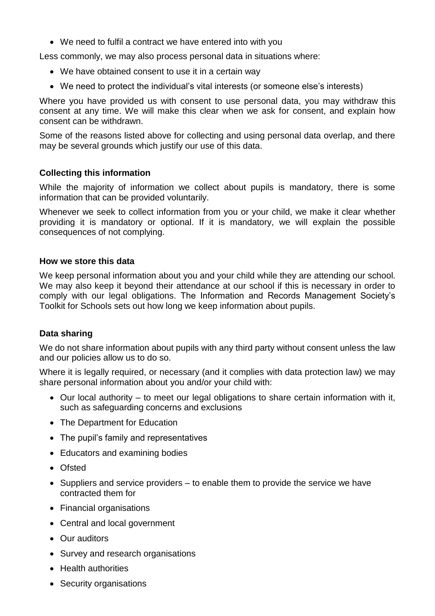We need to fulfil a contract we have entered into with you

Less commonly, we may also process personal data in situations where:

- We have obtained consent to use it in a certain way
- We need to protect the individual's vital interests (or someone else's interests)

Where you have provided us with consent to use personal data, you may withdraw this consent at any time. We will make this clear when we ask for consent, and explain how consent can be withdrawn.

Some of the reasons listed above for collecting and using personal data overlap, and there may be several grounds which justify our use of this data.

### **Collecting this information**

While the majority of information we collect about pupils is mandatory, there is some information that can be provided voluntarily.

Whenever we seek to collect information from you or your child, we make it clear whether providing it is mandatory or optional. If it is mandatory, we will explain the possible consequences of not complying.

#### **How we store this data**

We keep personal information about you and your child while they are attending our school. We may also keep it beyond their attendance at our school if this is necessary in order to comply with our legal obligations. The Information and Records Management Society's Toolkit for Schools sets out how long we keep information about pupils.

### **Data sharing**

We do not share information about pupils with any third party without consent unless the law and our policies allow us to do so.

Where it is legally required, or necessary (and it complies with data protection law) we may share personal information about you and/or your child with:

- Our local authority to meet our legal obligations to share certain information with it, such as safeguarding concerns and exclusions
- The Department for Education
- The pupil's family and representatives
- Educators and examining bodies
- Ofsted
- $\bullet$  Suppliers and service providers to enable them to provide the service we have contracted them for
- Financial organisations
- Central and local government
- Our auditors
- Survey and research organisations
- Health authorities
- Security organisations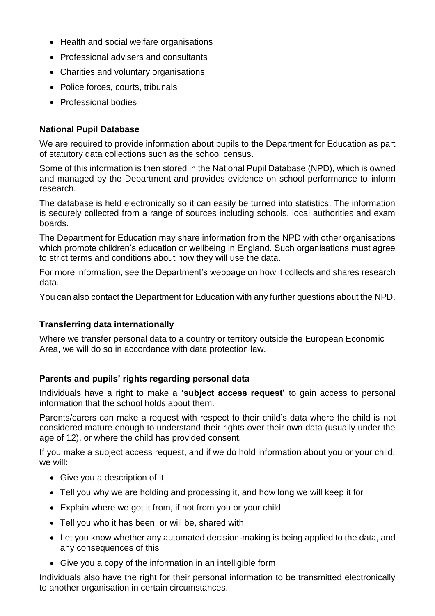- Health and social welfare organisations
- Professional advisers and consultants
- Charities and voluntary organisations
- Police forces, courts, tribunals
- Professional bodies

## **National Pupil Database**

We are required to provide information about pupils to the Department for Education as part of statutory data collections such as the school census.

Some of this information is then stored in the National Pupil Database (NPD), which is owned and managed by the Department and provides evidence on school performance to inform research.

The database is held electronically so it can easily be turned into statistics. The information is securely collected from a range of sources including schools, local authorities and exam boards.

The Department for Education may share information from the NPD with other organisations which promote children's education or wellbeing in England. Such organisations must agree to strict terms and conditions about how they will use the data.

For more information, see the Department's webpage on how it collects and shares research data.

You can also contact the Department for Education with any further questions about the NPD.

### **Transferring data internationally**

Where we transfer personal data to a country or territory outside the European Economic Area, we will do so in accordance with data protection law.

### **Parents and pupils' rights regarding personal data**

Individuals have a right to make a **'subject access request'** to gain access to personal information that the school holds about them.

Parents/carers can make a request with respect to their child's data where the child is not considered mature enough to understand their rights over their own data (usually under the age of 12), or where the child has provided consent.

If you make a subject access request, and if we do hold information about you or your child, we will:

- Give you a description of it
- Tell you why we are holding and processing it, and how long we will keep it for
- Explain where we got it from, if not from you or your child
- Tell you who it has been, or will be, shared with
- Let you know whether any automated decision-making is being applied to the data, and any consequences of this
- Give you a copy of the information in an intelligible form

Individuals also have the right for their personal information to be transmitted electronically to another organisation in certain circumstances.